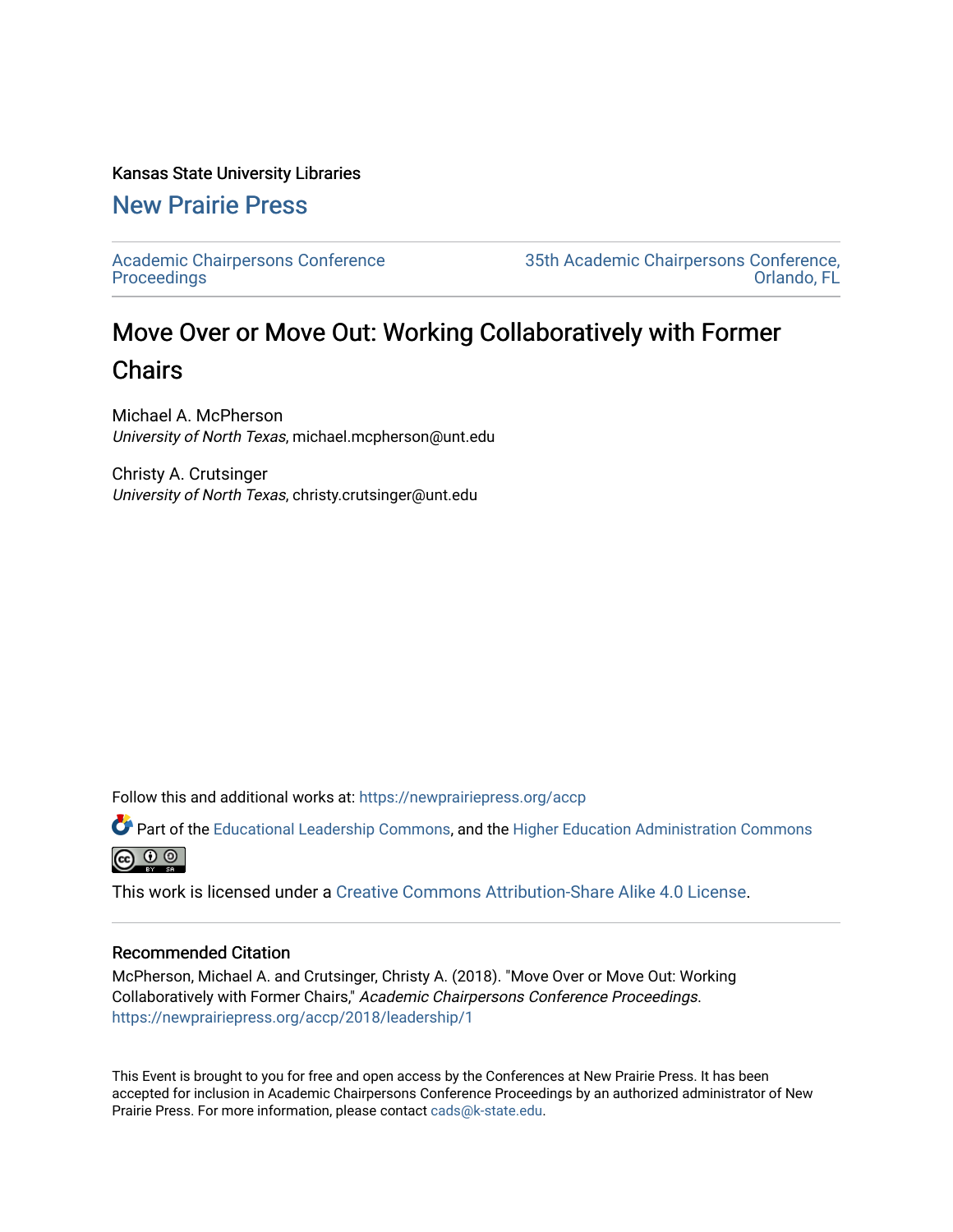## Kansas State University Libraries

[New Prairie Press](https://newprairiepress.org/) 

[Academic Chairpersons Conference](https://newprairiepress.org/accp)  **Proceedings** 

[35th Academic Chairpersons Conference,](https://newprairiepress.org/accp/2018)  [Orlando, FL](https://newprairiepress.org/accp/2018) 

## Move Over or Move Out: Working Collaboratively with Former Chairs

Michael A. McPherson University of North Texas, michael.mcpherson@unt.edu

Christy A. Crutsinger University of North Texas, christy.crutsinger@unt.edu

Follow this and additional works at: [https://newprairiepress.org/accp](https://newprairiepress.org/accp?utm_source=newprairiepress.org%2Faccp%2F2018%2Fleadership%2F1&utm_medium=PDF&utm_campaign=PDFCoverPages) 

Part of the [Educational Leadership Commons,](http://network.bepress.com/hgg/discipline/1230?utm_source=newprairiepress.org%2Faccp%2F2018%2Fleadership%2F1&utm_medium=PDF&utm_campaign=PDFCoverPages) and the [Higher Education Administration Commons](http://network.bepress.com/hgg/discipline/791?utm_source=newprairiepress.org%2Faccp%2F2018%2Fleadership%2F1&utm_medium=PDF&utm_campaign=PDFCoverPages) **@** ⊙ ⊚

This work is licensed under a [Creative Commons Attribution-Share Alike 4.0 License.](https://creativecommons.org/licenses/by-sa/4.0/)

## Recommended Citation

McPherson, Michael A. and Crutsinger, Christy A. (2018). "Move Over or Move Out: Working Collaboratively with Former Chairs," Academic Chairpersons Conference Proceedings. <https://newprairiepress.org/accp/2018/leadership/1>

This Event is brought to you for free and open access by the Conferences at New Prairie Press. It has been accepted for inclusion in Academic Chairpersons Conference Proceedings by an authorized administrator of New Prairie Press. For more information, please contact [cads@k-state.edu.](mailto:cads@k-state.edu)